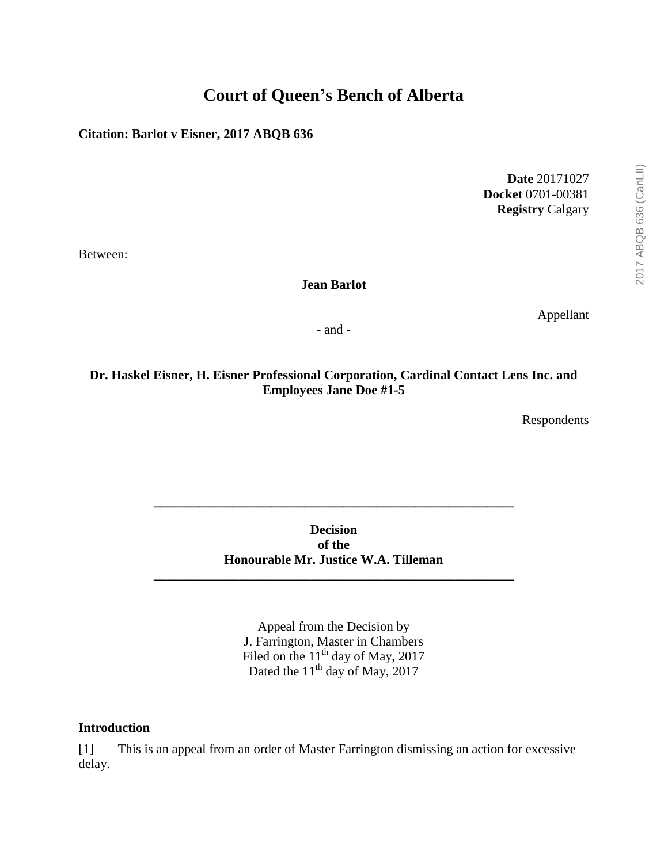# **Court of Queen's Bench of Alberta**

**Citation: Barlot v Eisner, 2017 ABQB 636**

**Date** 20171027 **Docket** 0701-00381 **Registry** Calgary

Between:

**Jean Barlot**

Appellant

- and -

## **Dr. Haskel Eisner, H. Eisner Professional Corporation, Cardinal Contact Lens Inc. and Employees Jane Doe #1-5**

Respondents

**Decision of the Honourable Mr. Justice W.A. Tilleman**

**\_\_\_\_\_\_\_\_\_\_\_\_\_\_\_\_\_\_\_\_\_\_\_\_\_\_\_\_\_\_\_\_\_\_\_\_\_\_\_\_\_\_\_\_\_\_\_\_\_\_\_\_\_\_\_**

**\_\_\_\_\_\_\_\_\_\_\_\_\_\_\_\_\_\_\_\_\_\_\_\_\_\_\_\_\_\_\_\_\_\_\_\_\_\_\_\_\_\_\_\_\_\_\_\_\_\_\_\_\_\_\_**

Appeal from the Decision by J. Farrington, Master in Chambers Filed on the  $11<sup>th</sup>$  day of May, 2017 Dated the  $11<sup>th</sup>$  day of May, 2017

### **Introduction**

[1] This is an appeal from an order of Master Farrington dismissing an action for excessive delay.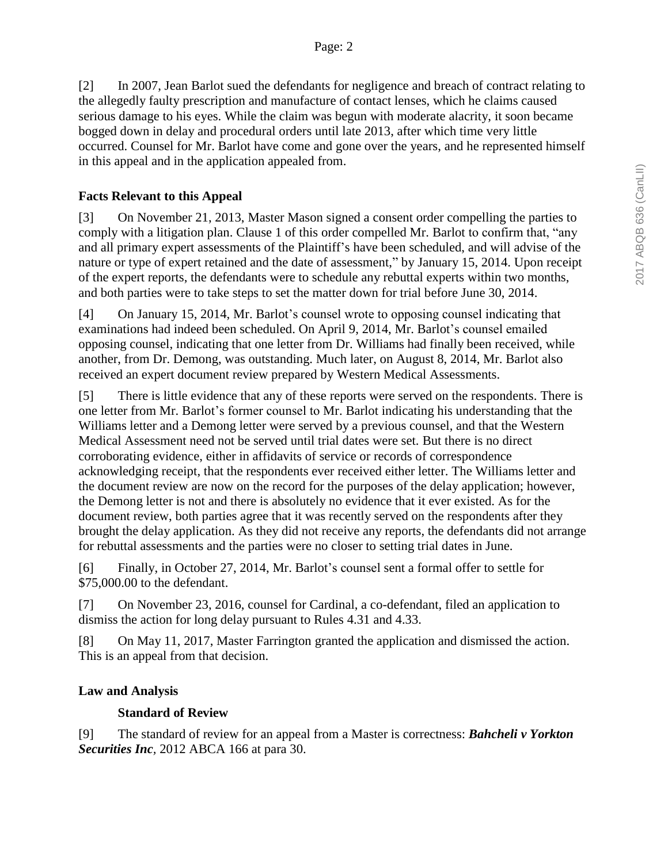[2] In 2007, Jean Barlot sued the defendants for negligence and breach of contract relating to the allegedly faulty prescription and manufacture of contact lenses, which he claims caused serious damage to his eyes. While the claim was begun with moderate alacrity, it soon became bogged down in delay and procedural orders until late 2013, after which time very little occurred. Counsel for Mr. Barlot have come and gone over the years, and he represented himself in this appeal and in the application appealed from.

### **Facts Relevant to this Appeal**

[3] On November 21, 2013, Master Mason signed a consent order compelling the parties to comply with a litigation plan. Clause 1 of this order compelled Mr. Barlot to confirm that, "any and all primary expert assessments of the Plaintiff's have been scheduled, and will advise of the nature or type of expert retained and the date of assessment," by January 15, 2014. Upon receipt of the expert reports, the defendants were to schedule any rebuttal experts within two months, and both parties were to take steps to set the matter down for trial before June 30, 2014.

[4] On January 15, 2014, Mr. Barlot's counsel wrote to opposing counsel indicating that examinations had indeed been scheduled. On April 9, 2014, Mr. Barlot's counsel emailed opposing counsel, indicating that one letter from Dr. Williams had finally been received, while another, from Dr. Demong, was outstanding. Much later, on August 8, 2014, Mr. Barlot also received an expert document review prepared by Western Medical Assessments.

[5] There is little evidence that any of these reports were served on the respondents. There is one letter from Mr. Barlot's former counsel to Mr. Barlot indicating his understanding that the Williams letter and a Demong letter were served by a previous counsel, and that the Western Medical Assessment need not be served until trial dates were set. But there is no direct corroborating evidence, either in affidavits of service or records of correspondence acknowledging receipt, that the respondents ever received either letter. The Williams letter and the document review are now on the record for the purposes of the delay application; however, the Demong letter is not and there is absolutely no evidence that it ever existed. As for the document review, both parties agree that it was recently served on the respondents after they brought the delay application. As they did not receive any reports, the defendants did not arrange for rebuttal assessments and the parties were no closer to setting trial dates in June.

[6] Finally, in October 27, 2014, Mr. Barlot's counsel sent a formal offer to settle for \$75,000.00 to the defendant.

[7] On November 23, 2016, counsel for Cardinal, a co-defendant, filed an application to dismiss the action for long delay pursuant to Rules 4.31 and 4.33.

[8] On May 11, 2017, Master Farrington granted the application and dismissed the action. This is an appeal from that decision.

### **Law and Analysis**

### **Standard of Review**

[9] The standard of review for an appeal from a Master is correctness: *Bahcheli v Yorkton Securities Inc,* 2012 ABCA 166 at para 30.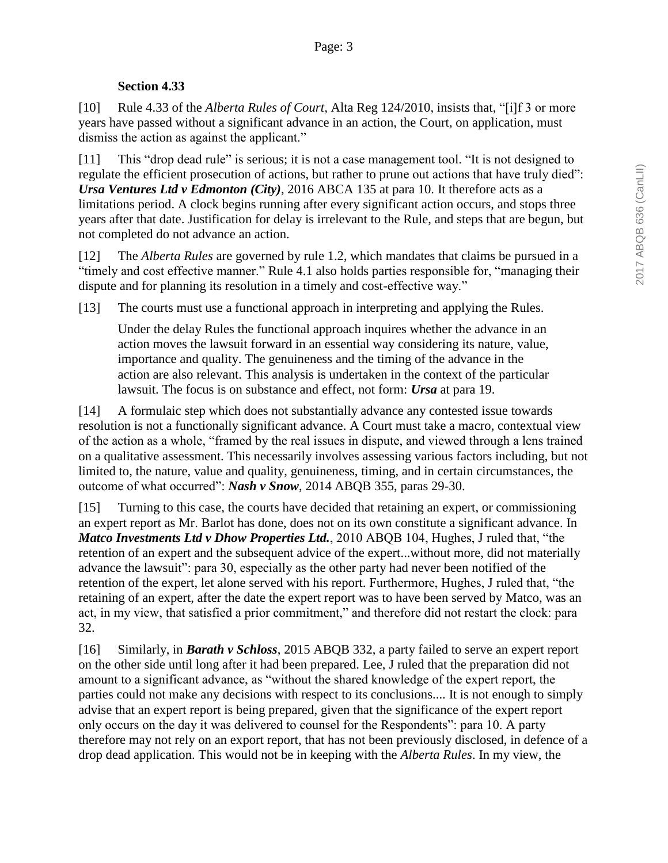### **Section 4.33**

[10] Rule 4.33 of the *Alberta Rules of Court*, Alta Reg 124/2010, insists that, "[i]f 3 or more years have passed without a significant advance in an action, the Court, on application, must dismiss the action as against the applicant."

[11] This "drop dead rule" is serious; it is not a case management tool. "It is not designed to regulate the efficient prosecution of actions, but rather to prune out actions that have truly died": *Ursa Ventures Ltd v Edmonton (City)*, 2016 ABCA 135 at para 10. It therefore acts as a limitations period. A clock begins running after every significant action occurs, and stops three years after that date. Justification for delay is irrelevant to the Rule, and steps that are begun, but not completed do not advance an action.

[12] The *Alberta Rules* are governed by rule 1.2, which mandates that claims be pursued in a "timely and cost effective manner." Rule 4.1 also holds parties responsible for, "managing their dispute and for planning its resolution in a timely and cost-effective way."

[13] The courts must use a functional approach in interpreting and applying the Rules.

Under the delay Rules the functional approach inquires whether the advance in an action moves the lawsuit forward in an essential way considering its nature, value, importance and quality. The genuineness and the timing of the advance in the action are also relevant. This analysis is undertaken in the context of the particular lawsuit. The focus is on substance and effect, not form: *Ursa* at para 19.

[14] A formulaic step which does not substantially advance any contested issue towards resolution is not a functionally significant advance. A Court must take a macro, contextual view of the action as a whole, "framed by the real issues in dispute, and viewed through a lens trained on a qualitative assessment. This necessarily involves assessing various factors including, but not limited to, the nature, value and quality, genuineness, timing, and in certain circumstances, the outcome of what occurred": *Nash v Snow*, 2014 ABQB 355, paras 29-30.

[15] Turning to this case, the courts have decided that retaining an expert, or commissioning an expert report as Mr. Barlot has done, does not on its own constitute a significant advance. In *Matco Investments Ltd v Dhow Properties Ltd.*, 2010 ABQB 104, Hughes, J ruled that, "the retention of an expert and the subsequent advice of the expert...without more, did not materially advance the lawsuit": para 30, especially as the other party had never been notified of the retention of the expert, let alone served with his report. Furthermore, Hughes, J ruled that, "the retaining of an expert, after the date the expert report was to have been served by Matco, was an act, in my view, that satisfied a prior commitment," and therefore did not restart the clock: para 32.

[16] Similarly, in *Barath v Schloss*, 2015 ABQB 332, a party failed to serve an expert report on the other side until long after it had been prepared. Lee, J ruled that the preparation did not amount to a significant advance, as "without the shared knowledge of the expert report, the parties could not make any decisions with respect to its conclusions.... It is not enough to simply advise that an expert report is being prepared, given that the significance of the expert report only occurs on the day it was delivered to counsel for the Respondents": para 10. A party therefore may not rely on an export report, that has not been previously disclosed, in defence of a drop dead application. This would not be in keeping with the *Alberta Rules*. In my view, the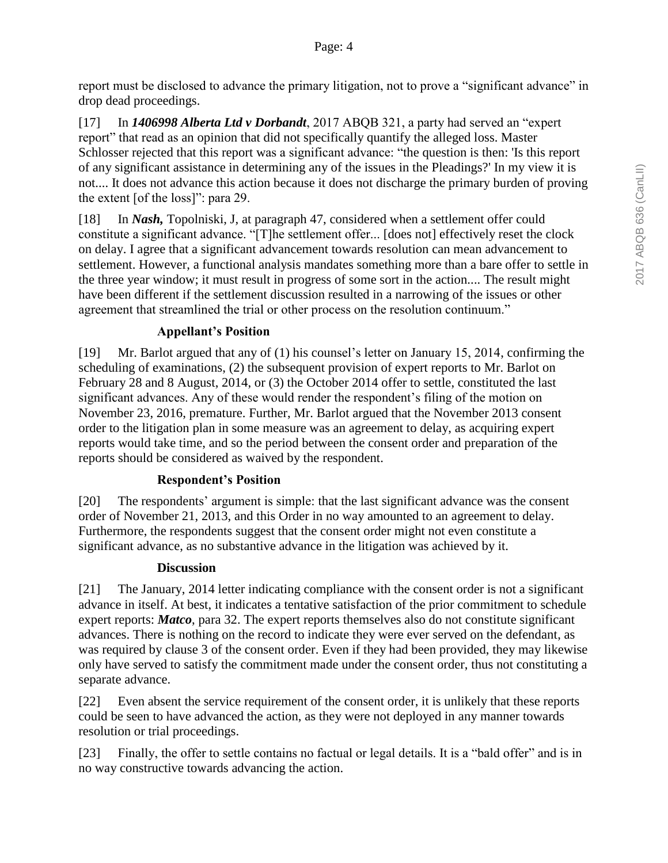report must be disclosed to advance the primary litigation, not to prove a "significant advance" in drop dead proceedings.

[17] In *1406998 Alberta Ltd v Dorbandt*, 2017 ABQB 321, a party had served an "expert report" that read as an opinion that did not specifically quantify the alleged loss. Master Schlosser rejected that this report was a significant advance: "the question is then: 'Is this report of any significant assistance in determining any of the issues in the Pleadings?' In my view it is not.... It does not advance this action because it does not discharge the primary burden of proving the extent [of the loss]": para 29.

[18] In *Nash,* Topolniski, J, at paragraph 47, considered when a settlement offer could constitute a significant advance. "[T]he settlement offer... [does not] effectively reset the clock on delay. I agree that a significant advancement towards resolution can mean advancement to settlement. However, a functional analysis mandates something more than a bare offer to settle in the three year window; it must result in progress of some sort in the action.... The result might have been different if the settlement discussion resulted in a narrowing of the issues or other agreement that streamlined the trial or other process on the resolution continuum."

## **Appellant's Position**

[19] Mr. Barlot argued that any of (1) his counsel's letter on January 15, 2014, confirming the scheduling of examinations, (2) the subsequent provision of expert reports to Mr. Barlot on February 28 and 8 August, 2014, or (3) the October 2014 offer to settle, constituted the last significant advances. Any of these would render the respondent's filing of the motion on November 23, 2016, premature. Further, Mr. Barlot argued that the November 2013 consent order to the litigation plan in some measure was an agreement to delay, as acquiring expert reports would take time, and so the period between the consent order and preparation of the reports should be considered as waived by the respondent.

### **Respondent's Position**

[20] The respondents' argument is simple: that the last significant advance was the consent order of November 21, 2013, and this Order in no way amounted to an agreement to delay. Furthermore, the respondents suggest that the consent order might not even constitute a significant advance, as no substantive advance in the litigation was achieved by it.

### **Discussion**

[21] The January, 2014 letter indicating compliance with the consent order is not a significant advance in itself. At best, it indicates a tentative satisfaction of the prior commitment to schedule expert reports: *Matco*, para 32. The expert reports themselves also do not constitute significant advances. There is nothing on the record to indicate they were ever served on the defendant, as was required by clause 3 of the consent order. Even if they had been provided, they may likewise only have served to satisfy the commitment made under the consent order, thus not constituting a separate advance.

[22] Even absent the service requirement of the consent order, it is unlikely that these reports could be seen to have advanced the action, as they were not deployed in any manner towards resolution or trial proceedings.

[23] Finally, the offer to settle contains no factual or legal details. It is a "bald offer" and is in no way constructive towards advancing the action.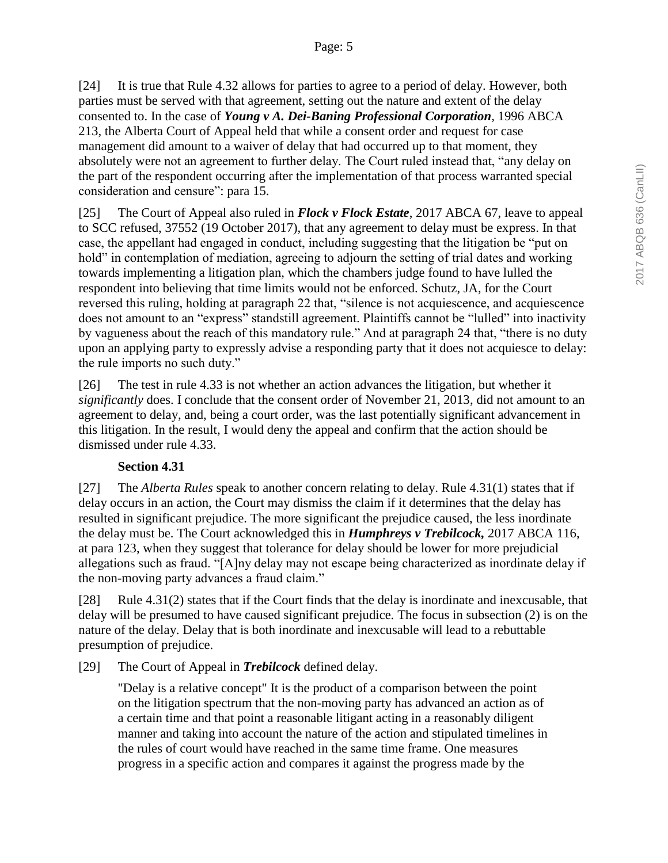[24] It is true that Rule 4.32 allows for parties to agree to a period of delay. However, both parties must be served with that agreement, setting out the nature and extent of the delay consented to. In the case of *Young v A. Dei-Baning Professional Corporation,* 1996 ABCA 213, the Alberta Court of Appeal held that while a consent order and request for case management did amount to a waiver of delay that had occurred up to that moment, they absolutely were not an agreement to further delay. The Court ruled instead that, "any delay on the part of the respondent occurring after the implementation of that process warranted special consideration and censure": para 15.

[25] The Court of Appeal also ruled in *Flock v Flock Estate*, 2017 ABCA 67, leave to appeal to SCC refused, 37552 (19 October 2017), that any agreement to delay must be express. In that case, the appellant had engaged in conduct, including suggesting that the litigation be "put on hold" in contemplation of mediation, agreeing to adjourn the setting of trial dates and working towards implementing a litigation plan, which the chambers judge found to have lulled the respondent into believing that time limits would not be enforced. Schutz, JA, for the Court reversed this ruling, holding at paragraph 22 that, "silence is not acquiescence, and acquiescence does not amount to an "express" standstill agreement. Plaintiffs cannot be "lulled" into inactivity by vagueness about the reach of this mandatory rule." And at paragraph 24 that, "there is no duty upon an applying party to expressly advise a responding party that it does not acquiesce to delay: the rule imports no such duty."

[26] The test in rule 4.33 is not whether an action advances the litigation, but whether it *significantly* does. I conclude that the consent order of November 21, 2013, did not amount to an agreement to delay, and, being a court order, was the last potentially significant advancement in this litigation. In the result, I would deny the appeal and confirm that the action should be dismissed under rule 4.33.

### **Section 4.31**

[27] The *Alberta Rules* speak to another concern relating to delay. Rule 4.31(1) states that if delay occurs in an action, the Court may dismiss the claim if it determines that the delay has resulted in significant prejudice. The more significant the prejudice caused, the less inordinate the delay must be. The Court acknowledged this in *Humphreys v Trebilcock,* 2017 ABCA 116, at para 123, when they suggest that tolerance for delay should be lower for more prejudicial allegations such as fraud. "[A]ny delay may not escape being characterized as inordinate delay if the non-moving party advances a fraud claim."

[28] Rule 4.31(2) states that if the Court finds that the delay is inordinate and inexcusable, that delay will be presumed to have caused significant prejudice. The focus in subsection (2) is on the nature of the delay. Delay that is both inordinate and inexcusable will lead to a rebuttable presumption of prejudice.

[29] The Court of Appeal in *Trebilcock* defined delay.

"Delay is a relative concept" It is the product of a comparison between the point on the litigation spectrum that the non-moving party has advanced an action as of a certain time and that point a reasonable litigant acting in a reasonably diligent manner and taking into account the nature of the action and stipulated timelines in the rules of court would have reached in the same time frame. One measures progress in a specific action and compares it against the progress made by the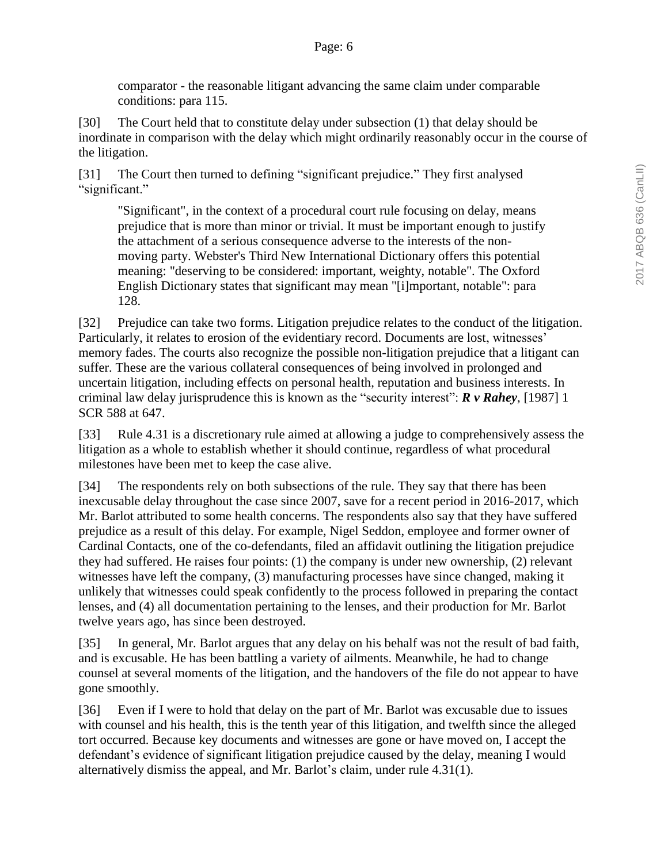comparator - the reasonable litigant advancing the same claim under comparable conditions: para 115.

[30] The Court held that to constitute delay under subsection (1) that delay should be inordinate in comparison with the delay which might ordinarily reasonably occur in the course of the litigation.

[31] The Court then turned to defining "significant prejudice." They first analysed "significant."

"Significant", in the context of a procedural court rule focusing on delay, means prejudice that is more than minor or trivial. It must be important enough to justify the attachment of a serious consequence adverse to the interests of the nonmoving party. Webster's Third New International Dictionary offers this potential meaning: "deserving to be considered: important, weighty, notable". The Oxford English Dictionary states that significant may mean "[i]mportant, notable": para 128.

[32] Prejudice can take two forms. Litigation prejudice relates to the conduct of the litigation. Particularly, it relates to erosion of the evidentiary record. Documents are lost, witnesses' memory fades. The courts also recognize the possible non-litigation prejudice that a litigant can suffer. These are the various collateral consequences of being involved in prolonged and uncertain litigation, including effects on personal health, reputation and business interests. In criminal law delay jurisprudence this is known as the "security interest": *R v Rahey*, [1987] 1 SCR 588 at 647.

[33] Rule 4.31 is a discretionary rule aimed at allowing a judge to comprehensively assess the litigation as a whole to establish whether it should continue, regardless of what procedural milestones have been met to keep the case alive.

[34] The respondents rely on both subsections of the rule. They say that there has been inexcusable delay throughout the case since 2007, save for a recent period in 2016-2017, which Mr. Barlot attributed to some health concerns. The respondents also say that they have suffered prejudice as a result of this delay. For example, Nigel Seddon, employee and former owner of Cardinal Contacts, one of the co-defendants, filed an affidavit outlining the litigation prejudice they had suffered. He raises four points: (1) the company is under new ownership, (2) relevant witnesses have left the company, (3) manufacturing processes have since changed, making it unlikely that witnesses could speak confidently to the process followed in preparing the contact lenses, and (4) all documentation pertaining to the lenses, and their production for Mr. Barlot twelve years ago, has since been destroyed.

[35] In general, Mr. Barlot argues that any delay on his behalf was not the result of bad faith, and is excusable. He has been battling a variety of ailments. Meanwhile, he had to change counsel at several moments of the litigation, and the handovers of the file do not appear to have gone smoothly.

[36] Even if I were to hold that delay on the part of Mr. Barlot was excusable due to issues with counsel and his health, this is the tenth year of this litigation, and twelfth since the alleged tort occurred. Because key documents and witnesses are gone or have moved on, I accept the defendant's evidence of significant litigation prejudice caused by the delay, meaning I would alternatively dismiss the appeal, and Mr. Barlot's claim, under rule 4.31(1).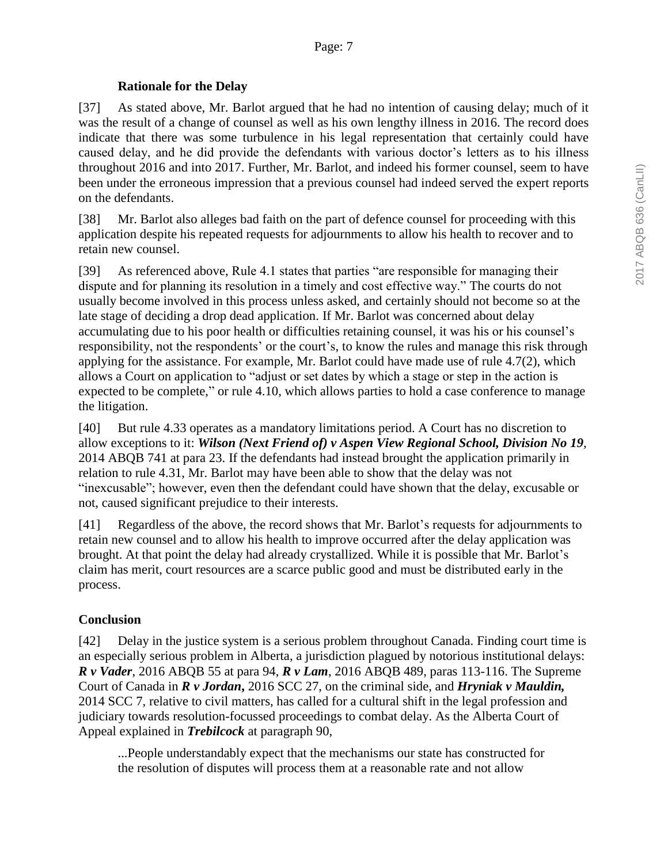### **Rationale for the Delay**

[37] As stated above, Mr. Barlot argued that he had no intention of causing delay; much of it was the result of a change of counsel as well as his own lengthy illness in 2016. The record does indicate that there was some turbulence in his legal representation that certainly could have caused delay, and he did provide the defendants with various doctor's letters as to his illness throughout 2016 and into 2017. Further, Mr. Barlot, and indeed his former counsel, seem to have been under the erroneous impression that a previous counsel had indeed served the expert reports on the defendants.

[38] Mr. Barlot also alleges bad faith on the part of defence counsel for proceeding with this application despite his repeated requests for adjournments to allow his health to recover and to retain new counsel.

[39] As referenced above, Rule 4.1 states that parties "are responsible for managing their dispute and for planning its resolution in a timely and cost effective way." The courts do not usually become involved in this process unless asked, and certainly should not become so at the late stage of deciding a drop dead application. If Mr. Barlot was concerned about delay accumulating due to his poor health or difficulties retaining counsel, it was his or his counsel's responsibility, not the respondents' or the court's, to know the rules and manage this risk through applying for the assistance. For example, Mr. Barlot could have made use of rule 4.7(2), which allows a Court on application to "adjust or set dates by which a stage or step in the action is expected to be complete," or rule 4.10, which allows parties to hold a case conference to manage the litigation.

[40] But rule 4.33 operates as a mandatory limitations period. A Court has no discretion to allow exceptions to it: *Wilson (Next Friend of) v Aspen View Regional School, Division No 19,*  2014 ABQB 741 at para 23. If the defendants had instead brought the application primarily in relation to rule 4.31, Mr. Barlot may have been able to show that the delay was not "inexcusable"; however, even then the defendant could have shown that the delay, excusable or not, caused significant prejudice to their interests.

[41] Regardless of the above, the record shows that Mr. Barlot's requests for adjournments to retain new counsel and to allow his health to improve occurred after the delay application was brought. At that point the delay had already crystallized. While it is possible that Mr. Barlot's claim has merit, court resources are a scarce public good and must be distributed early in the process.

### **Conclusion**

[42] Delay in the justice system is a serious problem throughout Canada. Finding court time is an especially serious problem in Alberta, a jurisdiction plagued by notorious institutional delays: *R v Vader*, 2016 ABQB 55 at para 94, *R v Lam*, 2016 ABQB 489, paras 113-116. The Supreme Court of Canada in *R v Jordan***,** 2016 SCC 27, on the criminal side, and *Hryniak v Mauldin,* 2014 SCC 7, relative to civil matters, has called for a cultural shift in the legal profession and judiciary towards resolution-focussed proceedings to combat delay. As the Alberta Court of Appeal explained in *Trebilcock* at paragraph 90,

...People understandably expect that the mechanisms our state has constructed for the resolution of disputes will process them at a reasonable rate and not allow